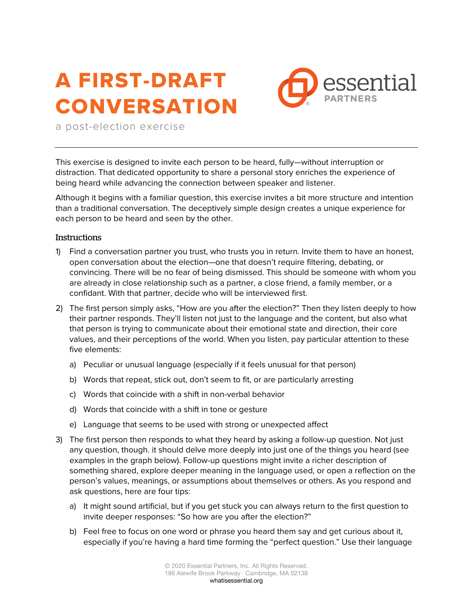## A FIRST-DRAFT **CONVERSATION**



a post-election exercise

This exercise is designed to invite each person to be heard, fully—without interruption or distraction. That dedicated opportunity to share a personal story enriches the experience of being heard while advancing the connection between speaker and listener.

Although it begins with a familiar question, this exercise invites a bit more structure and intention than a traditional conversation. The deceptively simple design creates a unique experience for each person to be heard and seen by the other.

## **Instructions**

- 1) Find a conversation partner you trust, who trusts you in return. Invite them to have an honest, open conversation about the election—one that doesn't require filtering, debating, or convincing. There will be no fear of being dismissed. This should be someone with whom you are already in close relationship such as a partner, a close friend, a family member, or a confidant. With that partner, decide who will be interviewed first.
- 2) The first person simply asks, "How are you after the election?" Then they listen deeply to how their partner responds. They'll listen not just to the language and the content, but also what that person is trying to communicate about their emotional state and direction, their core values, and their perceptions of the world. When you listen, pay particular attention to these five elements:
	- a) Peculiar or unusual language (especially if it feels unusual for that person)
	- b) Words that repeat, stick out, don't seem to fit, or are particularly arresting
	- c) Words that coincide with a shift in non-verbal behavior
	- d) Words that coincide with a shift in tone or gesture
	- e) Language that seems to be used with strong or unexpected affect
- 3) The first person then responds to what they heard by asking a follow-up question. Not just any question, though. it should delve more deeply into just one of the things you heard (see examples in the graph below). Follow-up questions might invite a richer description of something shared, explore deeper meaning in the language used, or open a reflection on the person's values, meanings, or assumptions about themselves or others. As you respond and ask questions, here are four tips:
	- a) It might sound artificial, but if you get stuck you can always return to the first question to invite deeper responses: "So how are you after the election?"
	- b) Feel free to focus on one word or phrase you heard them say and get curious about it, especially if you're having a hard time forming the "perfect question." Use their language